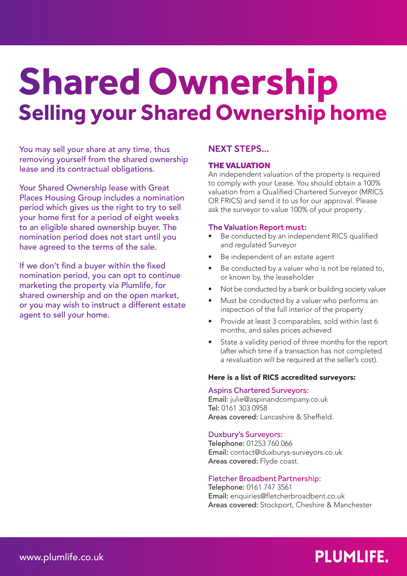# **Shared Ownership Selling your Shared Ownership home**

You may sell your share at any time, thus removing yourself from the shared ownership lease and its contractual obligations.

Your Shared Ownership lease with Great Places Housing Group includes a nomination period which gives us the right to try to sell your home first for a period of eight weeks to an eligible shared ownership buyer. The nomination period does not start until you have agreed to the terms of the sale.

If we don't find a buyer within the fixed nomination period, you can opt to continue marketing the property via Plumlife, for shared ownership and on the open market, or you may wish to instruct a different estate agent to sell your home.

# NEXT STEPS…

## THE VALUATION

An independent valuation of the property is required to comply with your Lease. You should obtain a 100% valuation from a Qualified Chartered Surveyor (MRICS OR FRICS) and send it to us for our approval. Please ask the surveyor to value 100% of your property .

#### The Valuation Report must:

- Be conducted by an independent RICS qualified and regulated Surveyor
- Be independent of an estate agent
- Be conducted by a valuer who is not be related to, or known by, the leaseholder
- Not be conducted by a bank or building society valuer
- Must be conducted by a valuer who performs an inspection of the full interior of the property
- Provide at least 3 comparables, sold within last 6 months, and sales prices achieved
- State a validity period of three months for the report (after which time if a transaction has not completed a revaluation will be required at the seller's cost).

#### Here is a list of RICS accredited surveyors:

#### Aspins Chartered Surveyors:

Email: julie@aspinandcompany.co.uk Tel: 0161 303 0958 Areas covered: Lancashire & Sheffield.

#### Duxbury's Surveyors:

Telephone: 01253 760 066 Email: contact@duxburys-surveyors.co.uk Areas covered: Flyde coast.

## Fletcher Broadbent Partnership:

Telephone: 0161 747 3561 Email: enquiries@fletcherbroadbent.co.uk Areas covered: Stockport, Cheshire & Manchester

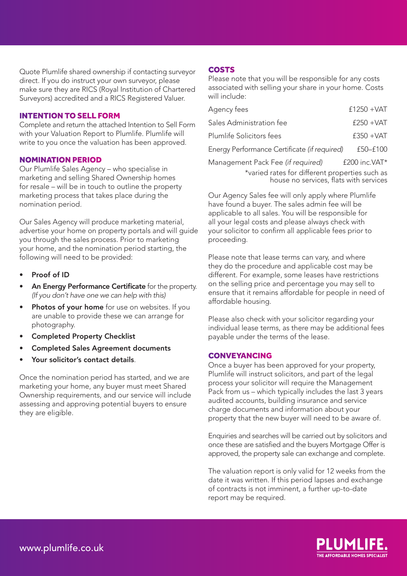Quote Plumlife shared ownership if contacting surveyor direct. If you do instruct your own surveyor, please make sure they are RICS (Royal Institution of Chartered Surveyors) accredited and a RICS Registered Valuer.

#### INTENTION TO SELL FORM

Complete and return the attached Intention to Sell Form with your Valuation Report to Plumlife. Plumlife will write to you once the valuation has been approved.

#### NOMINATION PERIOD

Our Plumlife Sales Agency – who specialise in marketing and selling Shared Ownership homes for resale – will be in touch to outline the property marketing process that takes place during the nomination period.

Our Sales Agency will produce marketing material, advertise your home on property portals and will guide you through the sales process. Prior to marketing your home, and the nomination period starting, the following will need to be provided:

- Proof of ID
- An Energy Performance Certificate for the property. *(If you don't have one we can help with this)*
- Photos of your home for use on websites. If you are unable to provide these we can arrange for photography.
- Completed Property Checklist
- Completed Sales Agreement documents
- Your solicitor's contact details.

Once the nomination period has started, and we are marketing your home, any buyer must meet Shared Ownership requirements, and our service will include assessing and approving potential buyers to ensure they are eligible.

#### **COSTS**

Please note that you will be responsible for any costs associated with selling your share in your home. Costs will include:

| Agency fees                                    | $£1250 + VAT$ |  |
|------------------------------------------------|---------------|--|
| Sales Administration fee                       | $£250 + VAT$  |  |
| Plumlife Solicitors fees                       | $£350 + VAT$  |  |
| Energy Performance Certificate (if required)   | £50-£100      |  |
| Management Pack Fee (if required)              | £200 inc.VAT* |  |
| *varied rates for different properties such as |               |  |

house no services, flats with services

Our Agency Sales fee will only apply where Plumlife have found a buyer. The sales admin fee will be applicable to all sales. You will be responsible for all your legal costs and please always check with your solicitor to confirm all applicable fees prior to proceeding.

Please note that lease terms can vary, and where they do the procedure and applicable cost may be different. For example, some leases have restrictions on the selling price and percentage you may sell to ensure that it remains affordable for people in need of affordable housing.

Please also check with your solicitor regarding your individual lease terms, as there may be additional fees payable under the terms of the lease.

#### CONVEYANCING

Once a buyer has been approved for your property, Plumlife will instruct solicitors, and part of the legal process your solicitor will require the Management Pack from us – which typically includes the last 3 years audited accounts, building insurance and service charge documents and information about your property that the new buyer will need to be aware of.

Enquiries and searches will be carried out by solicitors and once these are satisfied and the buyers Mortgage Offer is approved, the property sale can exchange and complete.

The valuation report is only valid for 12 weeks from the date it was written. If this period lapses and exchange of contracts is not imminent, a further up-to-date report may be required.